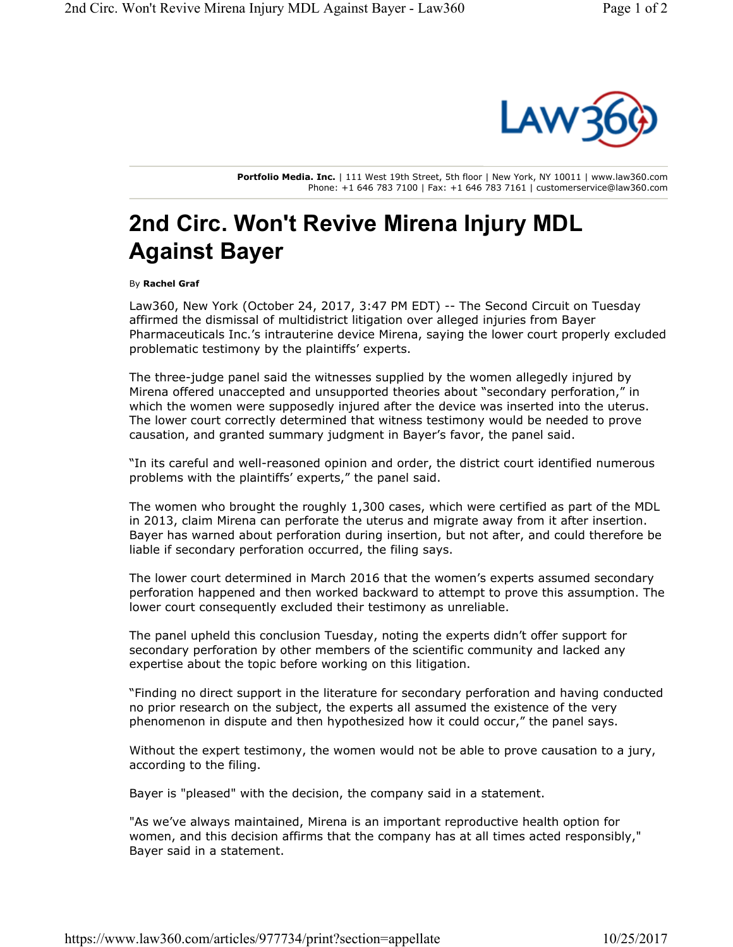

**Portfolio Media. Inc.** | 111 West 19th Street, 5th floor | New York, NY 10011 | www.law360.com Phone: +1 646 783 7100 | Fax: +1 646 783 7161 | customerservice@law360.com

## **2nd Circ. Won't Revive Mirena Injury MDL Against Bayer**

By **Rachel Graf**

Law360, New York (October 24, 2017, 3:47 PM EDT) -- The Second Circuit on Tuesday affirmed the dismissal of multidistrict litigation over alleged injuries from Bayer Pharmaceuticals Inc.'s intrauterine device Mirena, saying the lower court properly excluded problematic testimony by the plaintiffs' experts.

The three-judge panel said the witnesses supplied by the women allegedly injured by Mirena offered unaccepted and unsupported theories about "secondary perforation," in which the women were supposedly injured after the device was inserted into the uterus. The lower court correctly determined that witness testimony would be needed to prove causation, and granted summary judgment in Bayer's favor, the panel said.

"In its careful and well-reasoned opinion and order, the district court identified numerous problems with the plaintiffs' experts," the panel said.

The women who brought the roughly 1,300 cases, which were certified as part of the MDL in 2013, claim Mirena can perforate the uterus and migrate away from it after insertion. Bayer has warned about perforation during insertion, but not after, and could therefore be liable if secondary perforation occurred, the filing says.

The lower court determined in March 2016 that the women's experts assumed secondary perforation happened and then worked backward to attempt to prove this assumption. The lower court consequently excluded their testimony as unreliable.

The panel upheld this conclusion Tuesday, noting the experts didn't offer support for secondary perforation by other members of the scientific community and lacked any expertise about the topic before working on this litigation.

"Finding no direct support in the literature for secondary perforation and having conducted no prior research on the subject, the experts all assumed the existence of the very phenomenon in dispute and then hypothesized how it could occur," the panel says.

Without the expert testimony, the women would not be able to prove causation to a jury, according to the filing.

Bayer is "pleased" with the decision, the company said in a statement.

"As we've always maintained, Mirena is an important reproductive health option for women, and this decision affirms that the company has at all times acted responsibly," Bayer said in a statement.